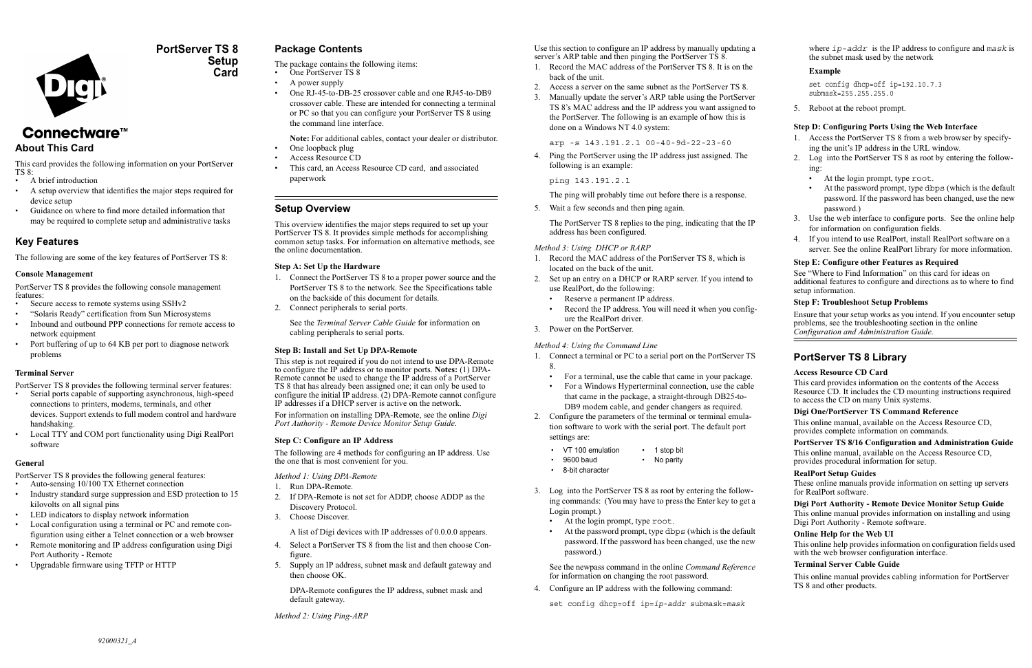

## **PortServer TS 8Setup Card**

# Connectware™

## **About This Card**

This card provides the following information on your PortServer TS 8:

- A brief introduction
- A setup overview that identifies the major steps required for device setup
- • Guidance on where to find more detailed information that may be required to complete setup and administrative tasks

## **Key Features**

The following are some of the key features of PortServer TS 8:

## **Console Management**

PortServer TS 8 provides the following console management features:

- Secure access to remote systems using SSHv2
- "Solaris Ready" certification from Sun Microsystems
- Inbound and outbound PPP connections for remote access to network equipment
- Port buffering of up to 64 KB per port to diagnose network problems

## **Terminal Server**

PortServer TS 8 provides the following terminal server features:

- Serial ports capable of supporting asynchronous, high-speed connections to printers, modems, terminals, and other devices. Support extends to full modem control and hardware handshaking.
- Local TTY and COM port functionality using Digi RealPort software

### **General**

PortServer TS 8 provides the following general features:

- •Auto-sensing 10/100 TX Ethernet connection
- • Industry standard surge suppression and ESD protection to 15 kilovolts on all signal pins
- •LED indicators to display network information
- • Local configuration using a terminal or PC and remote configuration using either a Telnet connection or a web browser
- • Remote monitoring and IP address configuration using Digi Port Authority - Remote
- •Upgradable firmware using TFTP or HTTP

## **Package Contents**

The package contains the following items:

- •One PortServer TS 8
- A power supply
- One RJ-45-to-DB-25 crossover cable and one RJ45-to-DB9 crossover cable. These are intended for connecting a terminal or PC so that you can configure your PortServer TS 8 using the command line interface.
- **Note:** For additional cables, contact your dealer or distributor.
- •One loopback plug
- •Access Resource CD
- • This card, an Access Resource CD card, and associated paperwork

Use this section to configure an IP address by manually updating a server's ARP table and then pinging the PortServer TS 8.

## **Setup Overview**

This overview identifies the major steps required to set up your PortServer TS 8. It provides simple methods for accomplishing common setup tasks. For information on alternative methods, see the online documentation.

## **Step A: Set Up the Hardware**

- 1. Connect the PortServer TS 8 to a proper power source and the PortServer TS 8 to the network. See the Specifications table on the backside of this document for details.
- 2. Connect peripherals to serial ports.

See the *Terminal Server Cable Guide* for information on cabling peripherals to serial ports.

## **Step B: Install and Set Up DPA-Remote**

This step is not required if you do not intend to use DPA-Remote to configure the IP address or to monitor ports. **Notes:** (1) DPA-Remote cannot be used to change the IP address of a PortServer TS 8 that has already been assigned one; it can only be used to configure the initial IP address. (2) DPA-Remote cannot configure IP addresses if a DHCP server is active on the network.

For information on installing DPA-Remote, see the online *Digi Port Authority - Remote Device Monitor Setup Guide*.

## **Step C: Configure an IP Address**

The following are 4 methods for configuring an IP address. Use the one that is most convenient for you.

*Method 1: Using DPA-Remote*

- 1. Run DPA-Remote.
- 2. If DPA-Remote is not set for ADDP, choose ADDP as the Discovery Protocol.
- 3. Choose Discover.

A list of Digi devices with IP addresses of 0.0.0.0 appears.

- 4. Select a PortServer TS 8 from the list and then choose Configure.
- 5. Supply an IP address, subnet mask and default gateway and then choose OK.

DPA-Remote configures the IP address, subnet mask and default gateway.

*Method 2: Using Ping-ARP*

This online help provides information on configuration fields used with the web browser configuration interface.

- 1. Record the MAC address of the PortServer TS 8. It is on the back of the unit.
- 2. Access a server on the same subnet as the PortServer TS 8.
- 3. Manually update the server's ARP table using the PortServer TS 8's MAC address and the IP address you want assigned to the PortServer. The following is an example of how this is done on a Windows NT 4.0 system:

arp -s 143.191.2.1 00-40-9d-22-23-60

- 4. Ping the PortServer using the IP address just assigned. The following is an example:
	- ping 143.191.2.1

The ping will probably time out before there is a response.

5. Wait a few seconds and then ping again.

The PortServer TS 8 replies to the ping, indicating that the IP address has been configured.

## *Method 3: Using DHCP or RARP*

- 1. Record the MAC address of the PortServer TS 8, which is located on the back of the unit.
- 2. Set up an entry on a DHCP or RARP server. If you intend to use RealPort, do the following:
	- •Reserve a permanent IP address.
	- • Record the IP address. You will need it when you configure the RealPort driver.
- 3. Power on the PortServer.

## *Method 4: Using the Command Line*

3. Log into the PortServer TS 8 as root by entering the following commands: (You may have to press the Enter key to get a Login prompt.)

- At the login prompt, type root.
- At the password prompt, type dbps (which is the default password. If the password has been changed, use the new password.)

See the newpass command in the online *Command Reference* for information on changing the root password.

4. Configure an IP address with the following command:

set config dhcp=off ip=*ip-addr* submask=*mask*

where *ip-addr* is the IP address to configure and *mask* is the subnet mask used by the network

### **Example**

```
set config dhcp=off ip=192.10.7.3 
submask=255.255.255.0
```
5. Reboot at the reboot prompt.

#### **Step D: Configuring Ports Using the Web Interface**

- 1. Access the PortServer TS 8 from a web browser by specifying the unit's IP address in the URL window.
- 2. Log into the PortServer TS 8 as root by entering the following:
	- At the login prompt, type root.
	- At the password prompt, type dbps (which is the default password. If the password has been changed, use the new password.)
- 3. Use the web interface to configure ports. See the online help for information on configuration fields.
- 4. If you intend to use RealPort, install RealPort software on a server. See the online RealPort library for more information.

- 1. Connect a terminal or PC to a serial port on the PortServer TS 8.
	- •For a terminal, use the cable that came in your package.
	- • For a Windows Hyperterminal connection, use the cable that came in the package, a straight-through DB25-to-DB9 modem cable, and gender changers as required.
- 2. Configure the parameters of the terminal or terminal emulation software to work with the serial port. The default port settings are:
	- VT 100 emulation 1 stop bit
	- 9600 baud No parity
	- 8-bit character

#### **Step E: Configure other Features as Required**

See "Where to Find Information" on this card for ideas on additional features to configure and directions as to where to find setup information.

#### **Step F: Troubleshoot Setup Problems**

Ensure that your setup works as you intend. If you encounter setup problems, see the troubleshooting section in the online *Configuration and Administration Guide.*

## **PortServer TS 8 Library**

#### **Access Resource CD Card**

This card provides information on the contents of the Access Resource CD. It includes the CD mounting instructions required to access the CD on many Unix systems.

#### **Digi One/PortServer TS Command Reference**

This online manual, available on the Access Resource CD, provides complete information on commands.

## **PortServer TS 8/16 Configuration and Administration Guide**

This online manual, available on the Access Resource CD, provides procedural information for setup.

#### **RealPort Setup Guides**

These online manuals provide information on setting up servers for RealPort software.

#### **Digi Port Authority - Remote Device Monitor Setup Guide**

This online manual provides information on installing and using Digi Port Authority - Remote software.

#### **Online Help for the Web UI**

#### **Terminal Server Cable Guide**

This online manual provides cabling information for PortServer TS 8 and other products.

•